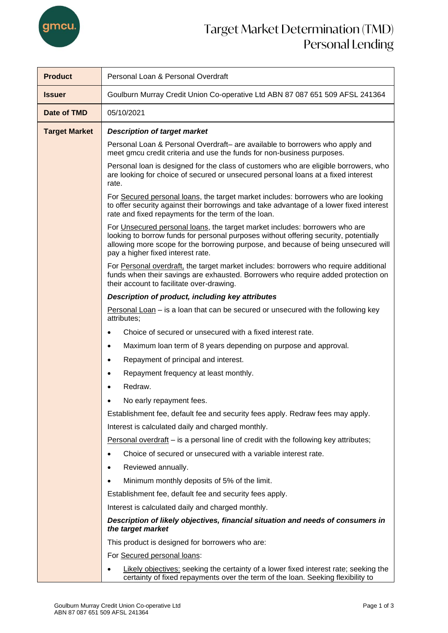

## Target Market Determination (TMD) Personal Lending

| <b>Product</b>       | Personal Loan & Personal Overdraft                                                                                                                                                                                                                                                             |  |  |  |  |
|----------------------|------------------------------------------------------------------------------------------------------------------------------------------------------------------------------------------------------------------------------------------------------------------------------------------------|--|--|--|--|
| <b>Issuer</b>        | Goulburn Murray Credit Union Co-operative Ltd ABN 87 087 651 509 AFSL 241364                                                                                                                                                                                                                   |  |  |  |  |
| Date of TMD          | 05/10/2021                                                                                                                                                                                                                                                                                     |  |  |  |  |
| <b>Target Market</b> | <b>Description of target market</b>                                                                                                                                                                                                                                                            |  |  |  |  |
|                      | Personal Loan & Personal Overdraft- are available to borrowers who apply and<br>meet gmcu credit criteria and use the funds for non-business purposes.                                                                                                                                         |  |  |  |  |
|                      | Personal loan is designed for the class of customers who are eligible borrowers, who<br>are looking for choice of secured or unsecured personal loans at a fixed interest<br>rate.                                                                                                             |  |  |  |  |
|                      | For Secured personal loans, the target market includes: borrowers who are looking<br>to offer security against their borrowings and take advantage of a lower fixed interest<br>rate and fixed repayments for the term of the loan.                                                            |  |  |  |  |
|                      | For Unsecured personal loans, the target market includes: borrowers who are<br>looking to borrow funds for personal purposes without offering security, potentially<br>allowing more scope for the borrowing purpose, and because of being unsecured will<br>pay a higher fixed interest rate. |  |  |  |  |
|                      | For Personal overdraft, the target market includes: borrowers who require additional<br>funds when their savings are exhausted. Borrowers who require added protection on<br>their account to facilitate over-drawing.                                                                         |  |  |  |  |
|                      | Description of product, including key attributes                                                                                                                                                                                                                                               |  |  |  |  |
|                      | <b>Personal Loan</b> $-$ is a loan that can be secured or unsecured with the following key<br>attributes;                                                                                                                                                                                      |  |  |  |  |
|                      | Choice of secured or unsecured with a fixed interest rate.                                                                                                                                                                                                                                     |  |  |  |  |
|                      | Maximum loan term of 8 years depending on purpose and approval.                                                                                                                                                                                                                                |  |  |  |  |
|                      | Repayment of principal and interest.<br>$\bullet$                                                                                                                                                                                                                                              |  |  |  |  |
|                      | Repayment frequency at least monthly.                                                                                                                                                                                                                                                          |  |  |  |  |
|                      | Redraw.<br>$\bullet$                                                                                                                                                                                                                                                                           |  |  |  |  |
|                      | No early repayment fees.                                                                                                                                                                                                                                                                       |  |  |  |  |
|                      | Establishment fee, default fee and security fees apply. Redraw fees may apply.                                                                                                                                                                                                                 |  |  |  |  |
|                      | Interest is calculated daily and charged monthly.                                                                                                                                                                                                                                              |  |  |  |  |
|                      | Personal overdraft – is a personal line of credit with the following key attributes;                                                                                                                                                                                                           |  |  |  |  |
|                      | Choice of secured or unsecured with a variable interest rate.                                                                                                                                                                                                                                  |  |  |  |  |
|                      | Reviewed annually.                                                                                                                                                                                                                                                                             |  |  |  |  |
|                      | Minimum monthly deposits of 5% of the limit.                                                                                                                                                                                                                                                   |  |  |  |  |
|                      | Establishment fee, default fee and security fees apply.                                                                                                                                                                                                                                        |  |  |  |  |
|                      | Interest is calculated daily and charged monthly.                                                                                                                                                                                                                                              |  |  |  |  |
|                      | Description of likely objectives, financial situation and needs of consumers in<br>the target market                                                                                                                                                                                           |  |  |  |  |
|                      | This product is designed for borrowers who are:                                                                                                                                                                                                                                                |  |  |  |  |
|                      | For Secured personal loans:                                                                                                                                                                                                                                                                    |  |  |  |  |
|                      | Likely objectives: seeking the certainty of a lower fixed interest rate; seeking the<br>certainty of fixed repayments over the term of the loan. Seeking flexibility to                                                                                                                        |  |  |  |  |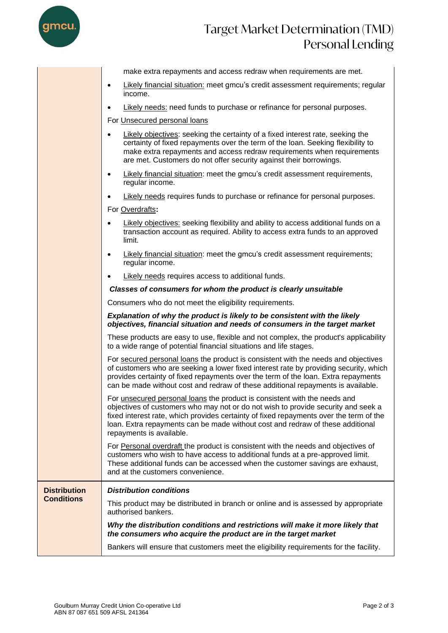

## Target Market Determination (TMD) Personal Lending

|                     | make extra repayments and access redraw when requirements are met.<br>Likely financial situation: meet gmcu's credit assessment requirements; regular<br>$\bullet$<br>income.                                                                                                                                                                                          |  |  |  |  |
|---------------------|------------------------------------------------------------------------------------------------------------------------------------------------------------------------------------------------------------------------------------------------------------------------------------------------------------------------------------------------------------------------|--|--|--|--|
|                     |                                                                                                                                                                                                                                                                                                                                                                        |  |  |  |  |
|                     | Likely needs: need funds to purchase or refinance for personal purposes.<br>$\bullet$                                                                                                                                                                                                                                                                                  |  |  |  |  |
|                     | For Unsecured personal loans                                                                                                                                                                                                                                                                                                                                           |  |  |  |  |
|                     | Likely objectives: seeking the certainty of a fixed interest rate, seeking the<br>certainty of fixed repayments over the term of the loan. Seeking flexibility to<br>make extra repayments and access redraw requirements when requirements<br>are met. Customers do not offer security against their borrowings.                                                      |  |  |  |  |
|                     | Likely financial situation: meet the gmcu's credit assessment requirements,<br>$\bullet$<br>regular income.                                                                                                                                                                                                                                                            |  |  |  |  |
|                     | Likely needs requires funds to purchase or refinance for personal purposes.<br>$\bullet$                                                                                                                                                                                                                                                                               |  |  |  |  |
|                     | For Overdrafts:                                                                                                                                                                                                                                                                                                                                                        |  |  |  |  |
|                     | Likely objectives: seeking flexibility and ability to access additional funds on a<br>$\bullet$<br>transaction account as required. Ability to access extra funds to an approved<br>limit.                                                                                                                                                                             |  |  |  |  |
|                     | Likely financial situation: meet the gmcu's credit assessment requirements;<br>$\bullet$<br>regular income.                                                                                                                                                                                                                                                            |  |  |  |  |
|                     | Likely needs requires access to additional funds.<br>$\bullet$                                                                                                                                                                                                                                                                                                         |  |  |  |  |
|                     | Classes of consumers for whom the product is clearly unsuitable                                                                                                                                                                                                                                                                                                        |  |  |  |  |
|                     | Consumers who do not meet the eligibility requirements.                                                                                                                                                                                                                                                                                                                |  |  |  |  |
|                     |                                                                                                                                                                                                                                                                                                                                                                        |  |  |  |  |
|                     | Explanation of why the product is likely to be consistent with the likely<br>objectives, financial situation and needs of consumers in the target market                                                                                                                                                                                                               |  |  |  |  |
|                     | These products are easy to use, flexible and not complex, the product's applicability<br>to a wide range of potential financial situations and life stages.                                                                                                                                                                                                            |  |  |  |  |
|                     | For secured personal loans the product is consistent with the needs and objectives<br>of customers who are seeking a lower fixed interest rate by providing security, which<br>provides certainty of fixed repayments over the term of the loan. Extra repayments<br>can be made without cost and redraw of these additional repayments is available.                  |  |  |  |  |
|                     | For unsecured personal loans the product is consistent with the needs and<br>objectives of customers who may not or do not wish to provide security and seek a<br>fixed interest rate, which provides certainty of fixed repayments over the term of the<br>loan. Extra repayments can be made without cost and redraw of these additional<br>repayments is available. |  |  |  |  |
|                     | For Personal overdraft the product is consistent with the needs and objectives of<br>customers who wish to have access to additional funds at a pre-approved limit.<br>These additional funds can be accessed when the customer savings are exhaust,<br>and at the customers convenience.                                                                              |  |  |  |  |
| <b>Distribution</b> | <b>Distribution conditions</b>                                                                                                                                                                                                                                                                                                                                         |  |  |  |  |
| <b>Conditions</b>   | This product may be distributed in branch or online and is assessed by appropriate<br>authorised bankers.                                                                                                                                                                                                                                                              |  |  |  |  |
|                     | Why the distribution conditions and restrictions will make it more likely that<br>the consumers who acquire the product are in the target market                                                                                                                                                                                                                       |  |  |  |  |